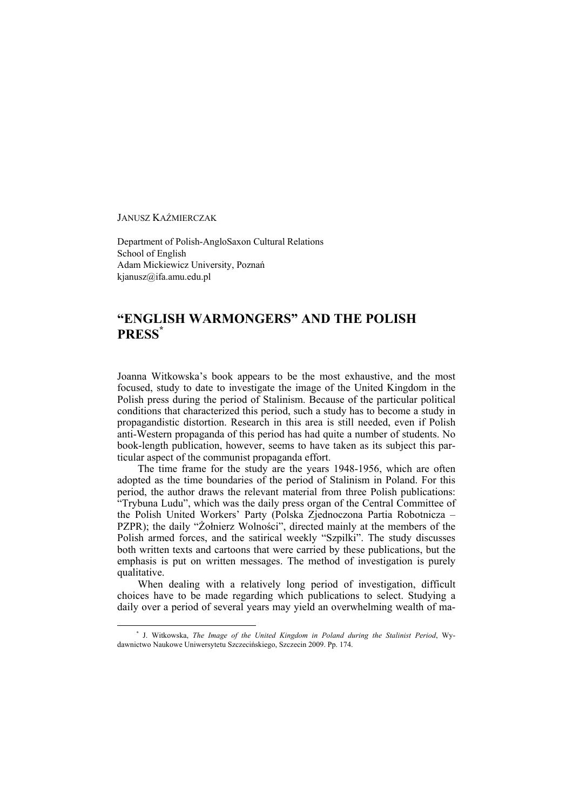JANUSZ KAŹMIERCZAK

1

Department of Polish-AngloSaxon Cultural Relations School of English Adam Mickiewicz University, Poznań kjanusz@ifa.amu.edu.pl

## **"ENGLISH WARMONGERS" AND THE POLISH PRESS\***

Joanna Witkowska's book appears to be the most exhaustive, and the most focused, study to date to investigate the image of the United Kingdom in the Polish press during the period of Stalinism. Because of the particular political conditions that characterized this period, such a study has to become a study in propagandistic distortion. Research in this area is still needed, even if Polish anti-Western propaganda of this period has had quite a number of students. No book-length publication, however, seems to have taken as its subject this particular aspect of the communist propaganda effort.

The time frame for the study are the years 1948-1956, which are often adopted as the time boundaries of the period of Stalinism in Poland. For this period, the author draws the relevant material from three Polish publications: "Trybuna Ludu", which was the daily press organ of the Central Committee of the Polish United Workers' Party (Polska Zjednoczona Partia Robotnicza – PZPR); the daily "Żołnierz Wolności", directed mainly at the members of the Polish armed forces, and the satirical weekly "Szpilki". The study discusses both written texts and cartoons that were carried by these publications, but the emphasis is put on written messages. The method of investigation is purely qualitative.

When dealing with a relatively long period of investigation, difficult choices have to be made regarding which publications to select. Studying a daily over a period of several years may yield an overwhelming wealth of ma-

**<sup>\*</sup>** J. Witkowska, *The Image of the United Kingdom in Poland during the Stalinist Period*, Wydawnictwo Naukowe Uniwersytetu Szczecińskiego, Szczecin 2009. Pp. 174.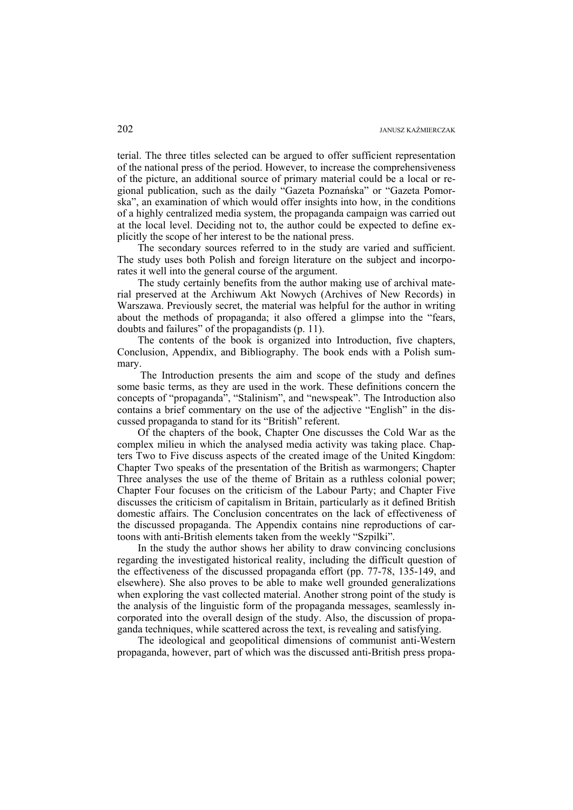terial. The three titles selected can be argued to offer sufficient representation of the national press of the period. However, to increase the comprehensiveness of the picture, an additional source of primary material could be a local or regional publication, such as the daily "Gazeta Poznańska" or "Gazeta Pomorska", an examination of which would offer insights into how, in the conditions of a highly centralized media system, the propaganda campaign was carried out at the local level. Deciding not to, the author could be expected to define explicitly the scope of her interest to be the national press.

The secondary sources referred to in the study are varied and sufficient. The study uses both Polish and foreign literature on the subject and incorporates it well into the general course of the argument.

The study certainly benefits from the author making use of archival material preserved at the Archiwum Akt Nowych (Archives of New Records) in Warszawa. Previously secret, the material was helpful for the author in writing about the methods of propaganda; it also offered a glimpse into the "fears, doubts and failures" of the propagandists (p. 11).

The contents of the book is organized into Introduction, five chapters, Conclusion, Appendix, and Bibliography. The book ends with a Polish summary.

 The Introduction presents the aim and scope of the study and defines some basic terms, as they are used in the work. These definitions concern the concepts of "propaganda", "Stalinism", and "newspeak". The Introduction also contains a brief commentary on the use of the adjective "English" in the discussed propaganda to stand for its "British" referent.

Of the chapters of the book, Chapter One discusses the Cold War as the complex milieu in which the analysed media activity was taking place. Chapters Two to Five discuss aspects of the created image of the United Kingdom: Chapter Two speaks of the presentation of the British as warmongers; Chapter Three analyses the use of the theme of Britain as a ruthless colonial power; Chapter Four focuses on the criticism of the Labour Party; and Chapter Five discusses the criticism of capitalism in Britain, particularly as it defined British domestic affairs. The Conclusion concentrates on the lack of effectiveness of the discussed propaganda. The Appendix contains nine reproductions of cartoons with anti-British elements taken from the weekly "Szpilki".

In the study the author shows her ability to draw convincing conclusions regarding the investigated historical reality, including the difficult question of the effectiveness of the discussed propaganda effort (pp. 77-78, 135-149, and elsewhere). She also proves to be able to make well grounded generalizations when exploring the vast collected material. Another strong point of the study is the analysis of the linguistic form of the propaganda messages, seamlessly incorporated into the overall design of the study. Also, the discussion of propaganda techniques, while scattered across the text, is revealing and satisfying.

The ideological and geopolitical dimensions of communist anti-Western propaganda, however, part of which was the discussed anti-British press propa